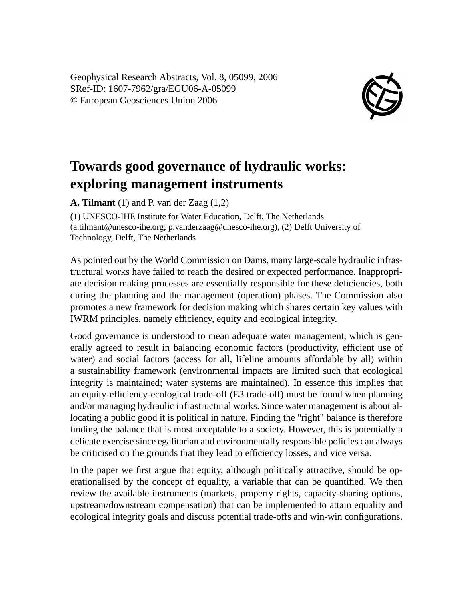Geophysical Research Abstracts, Vol. 8, 05099, 2006 SRef-ID: 1607-7962/gra/EGU06-A-05099 © European Geosciences Union 2006



## **Towards good governance of hydraulic works: exploring management instruments**

**A. Tilmant** (1) and P. van der Zaag (1,2)

(1) UNESCO-IHE Institute for Water Education, Delft, The Netherlands (a.tilmant@unesco-ihe.org; p.vanderzaag@unesco-ihe.org), (2) Delft University of Technology, Delft, The Netherlands

As pointed out by the World Commission on Dams, many large-scale hydraulic infrastructural works have failed to reach the desired or expected performance. Inappropriate decision making processes are essentially responsible for these deficiencies, both during the planning and the management (operation) phases. The Commission also promotes a new framework for decision making which shares certain key values with IWRM principles, namely efficiency, equity and ecological integrity.

Good governance is understood to mean adequate water management, which is generally agreed to result in balancing economic factors (productivity, efficient use of water) and social factors (access for all, lifeline amounts affordable by all) within a sustainability framework (environmental impacts are limited such that ecological integrity is maintained; water systems are maintained). In essence this implies that an equity-efficiency-ecological trade-off (E3 trade-off) must be found when planning and/or managing hydraulic infrastructural works. Since water management is about allocating a public good it is political in nature. Finding the "right" balance is therefore finding the balance that is most acceptable to a society. However, this is potentially a delicate exercise since egalitarian and environmentally responsible policies can always be criticised on the grounds that they lead to efficiency losses, and vice versa.

In the paper we first argue that equity, although politically attractive, should be operationalised by the concept of equality, a variable that can be quantified. We then review the available instruments (markets, property rights, capacity-sharing options, upstream/downstream compensation) that can be implemented to attain equality and ecological integrity goals and discuss potential trade-offs and win-win configurations.